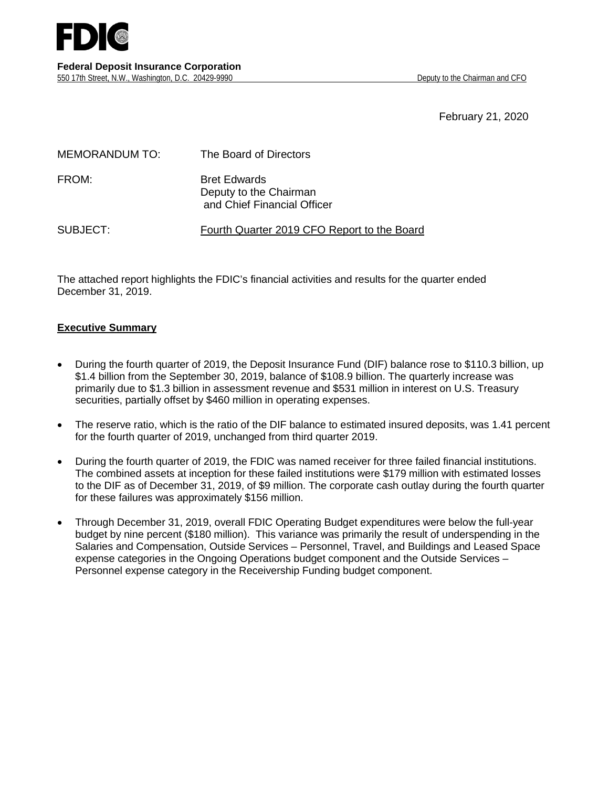

February 21, 2020

| <b>MEMORANDUM TO:</b> | The Board of Directors                                                       |
|-----------------------|------------------------------------------------------------------------------|
| FROM:                 | <b>Bret Edwards</b><br>Deputy to the Chairman<br>and Chief Financial Officer |
| SUBJECT:              | Fourth Quarter 2019 CFO Report to the Board                                  |

The attached report highlights the FDIC's financial activities and results for the quarter ended December 31, 2019.

# **Executive Summary**

- During the fourth quarter of 2019, the Deposit Insurance Fund (DIF) balance rose to \$110.3 billion, up \$1.4 billion from the September 30, 2019, balance of \$108.9 billion. The quarterly increase was primarily due to \$1.3 billion in assessment revenue and \$531 million in interest on U.S. Treasury securities, partially offset by \$460 million in operating expenses.
- The reserve ratio, which is the ratio of the DIF balance to estimated insured deposits, was 1.41 percent for the fourth quarter of 2019, unchanged from third quarter 2019.
- During the fourth quarter of 2019, the FDIC was named receiver for three failed financial institutions. The combined assets at inception for these failed institutions were \$179 million with estimated losses to the DIF as of December 31, 2019, of \$9 million. The corporate cash outlay during the fourth quarter for these failures was approximately \$156 million.
- Through December 31, 2019, overall FDIC Operating Budget expenditures were below the full-year budget by nine percent (\$180 million). This variance was primarily the result of underspending in the Salaries and Compensation, Outside Services – Personnel, Travel, and Buildings and Leased Space expense categories in the Ongoing Operations budget component and the Outside Services – Personnel expense category in the Receivership Funding budget component.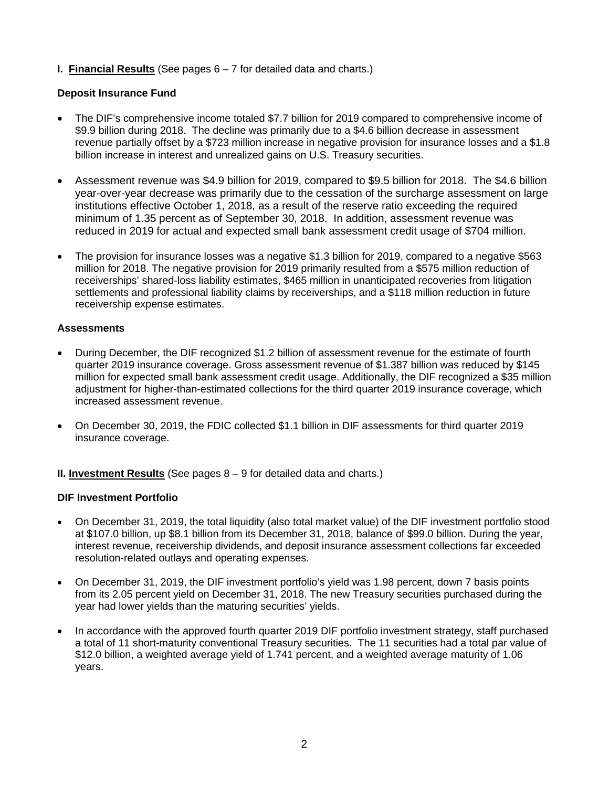# **I. Financial Results** (See pages 6 – 7 for detailed data and charts.)

# **Deposit Insurance Fund**

- The DIF's comprehensive income totaled \$7.7 billion for 2019 compared to comprehensive income of \$9.9 billion during 2018. The decline was primarily due to a \$4.6 billion decrease in assessment revenue partially offset by a \$723 million increase in negative provision for insurance losses and a \$1.8 billion increase in interest and unrealized gains on U.S. Treasury securities.
- Assessment revenue was \$4.9 billion for 2019, compared to \$9.5 billion for 2018. The \$4.6 billion year-over-year decrease was primarily due to the cessation of the surcharge assessment on large institutions effective October 1, 2018, as a result of the reserve ratio exceeding the required minimum of 1.35 percent as of September 30, 2018. In addition, assessment revenue was reduced in 2019 for actual and expected small bank assessment credit usage of \$704 million.
- The provision for insurance losses was a negative \$1.3 billion for 2019, compared to a negative \$563 million for 2018. The negative provision for 2019 primarily resulted from a \$575 million reduction of receiverships' shared-loss liability estimates, \$465 million in unanticipated recoveries from litigation settlements and professional liability claims by receiverships, and a \$118 million reduction in future receivership expense estimates.

### **Assessments**

- During December, the DIF recognized \$1.2 billion of assessment revenue for the estimate of fourth quarter 2019 insurance coverage. Gross assessment revenue of \$1.387 billion was reduced by \$145 million for expected small bank assessment credit usage. Additionally, the DIF recognized a \$35 million adjustment for higher-than-estimated collections for the third quarter 2019 insurance coverage, which increased assessment revenue.
- On December 30, 2019, the FDIC collected \$1.1 billion in DIF assessments for third quarter 2019 insurance coverage.
- **II. Investment Results** (See pages 8 9 for detailed data and charts.)

### **DIF Investment Portfolio**

- On December 31, 2019, the total liquidity (also total market value) of the DIF investment portfolio stood at \$107.0 billion, up \$8.1 billion from its December 31, 2018, balance of \$99.0 billion. During the year, interest revenue, receivership dividends, and deposit insurance assessment collections far exceeded resolution-related outlays and operating expenses.
- On December 31, 2019, the DIF investment portfolio's yield was 1.98 percent, down 7 basis points from its 2.05 percent yield on December 31, 2018. The new Treasury securities purchased during the year had lower yields than the maturing securities' yields.
- In accordance with the approved fourth quarter 2019 DIF portfolio investment strategy, staff purchased a total of 11 short-maturity conventional Treasury securities. The 11 securities had a total par value of \$12.0 billion, a weighted average yield of 1.741 percent, and a weighted average maturity of 1.06 years.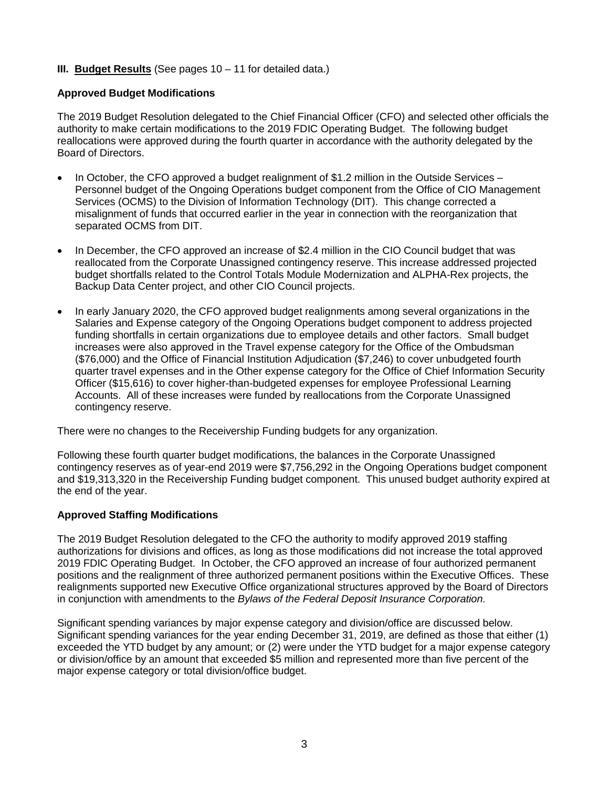# **III. Budget Results** (See pages 10 – 11 for detailed data.)

### **Approved Budget Modifications**

The 2019 Budget Resolution delegated to the Chief Financial Officer (CFO) and selected other officials the authority to make certain modifications to the 2019 FDIC Operating Budget. The following budget reallocations were approved during the fourth quarter in accordance with the authority delegated by the Board of Directors.

- In October, the CFO approved a budget realignment of \$1.2 million in the Outside Services Personnel budget of the Ongoing Operations budget component from the Office of CIO Management Services (OCMS) to the Division of Information Technology (DIT). This change corrected a misalignment of funds that occurred earlier in the year in connection with the reorganization that separated OCMS from DIT.
- In December, the CFO approved an increase of \$2.4 million in the CIO Council budget that was reallocated from the Corporate Unassigned contingency reserve. This increase addressed projected budget shortfalls related to the Control Totals Module Modernization and ALPHA-Rex projects, the Backup Data Center project, and other CIO Council projects.
- In early January 2020, the CFO approved budget realignments among several organizations in the Salaries and Expense category of the Ongoing Operations budget component to address projected funding shortfalls in certain organizations due to employee details and other factors. Small budget increases were also approved in the Travel expense category for the Office of the Ombudsman (\$76,000) and the Office of Financial Institution Adjudication (\$7,246) to cover unbudgeted fourth quarter travel expenses and in the Other expense category for the Office of Chief Information Security Officer (\$15,616) to cover higher-than-budgeted expenses for employee Professional Learning Accounts. All of these increases were funded by reallocations from the Corporate Unassigned contingency reserve.

There were no changes to the Receivership Funding budgets for any organization.

Following these fourth quarter budget modifications, the balances in the Corporate Unassigned contingency reserves as of year-end 2019 were \$7,756,292 in the Ongoing Operations budget component and \$19,313,320 in the Receivership Funding budget component. This unused budget authority expired at the end of the year.

### **Approved Staffing Modifications**

The 2019 Budget Resolution delegated to the CFO the authority to modify approved 2019 staffing authorizations for divisions and offices, as long as those modifications did not increase the total approved 2019 FDIC Operating Budget. In October, the CFO approved an increase of four authorized permanent positions and the realignment of three authorized permanent positions within the Executive Offices. These realignments supported new Executive Office organizational structures approved by the Board of Directors in conjunction with amendments to the *Bylaws of the Federal Deposit Insurance Corporation.*

Significant spending variances by major expense category and division/office are discussed below. Significant spending variances for the year ending December 31, 2019, are defined as those that either (1) exceeded the YTD budget by any amount; or (2) were under the YTD budget for a major expense category or division/office by an amount that exceeded \$5 million and represented more than five percent of the major expense category or total division/office budget.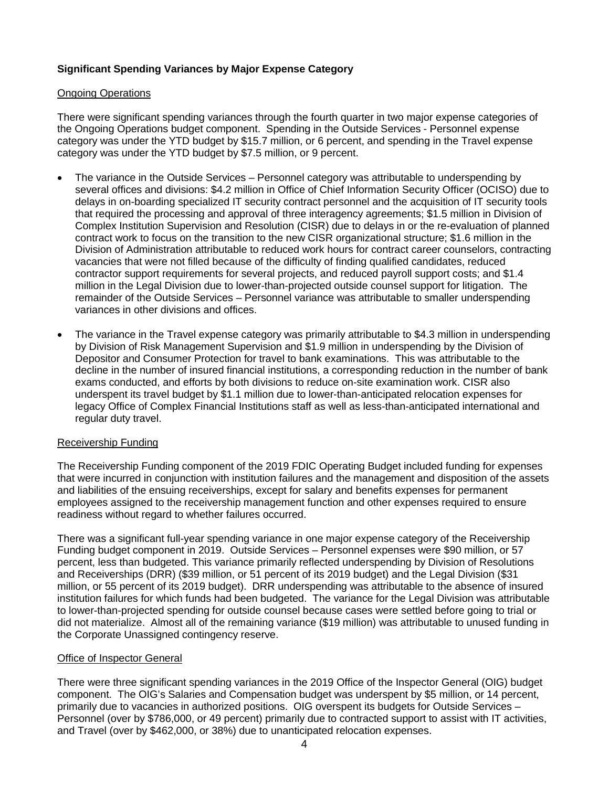# **Significant Spending Variances by Major Expense Category**

# **Ongoing Operations**

There were significant spending variances through the fourth quarter in two major expense categories of the Ongoing Operations budget component. Spending in the Outside Services - Personnel expense category was under the YTD budget by \$15.7 million, or 6 percent, and spending in the Travel expense category was under the YTD budget by \$7.5 million, or 9 percent.

- The variance in the Outside Services Personnel category was attributable to underspending by several offices and divisions: \$4.2 million in Office of Chief Information Security Officer (OCISO) due to delays in on-boarding specialized IT security contract personnel and the acquisition of IT security tools that required the processing and approval of three interagency agreements; \$1.5 million in Division of Complex Institution Supervision and Resolution (CISR) due to delays in or the re-evaluation of planned contract work to focus on the transition to the new CISR organizational structure; \$1.6 million in the Division of Administration attributable to reduced work hours for contract career counselors, contracting vacancies that were not filled because of the difficulty of finding qualified candidates, reduced contractor support requirements for several projects, and reduced payroll support costs; and \$1.4 million in the Legal Division due to lower-than-projected outside counsel support for litigation. The remainder of the Outside Services – Personnel variance was attributable to smaller underspending variances in other divisions and offices.
- The variance in the Travel expense category was primarily attributable to \$4.3 million in underspending by Division of Risk Management Supervision and \$1.9 million in underspending by the Division of Depositor and Consumer Protection for travel to bank examinations. This was attributable to the decline in the number of insured financial institutions, a corresponding reduction in the number of bank exams conducted, and efforts by both divisions to reduce on-site examination work. CISR also underspent its travel budget by \$1.1 million due to lower-than-anticipated relocation expenses for legacy Office of Complex Financial Institutions staff as well as less-than-anticipated international and regular duty travel.

### Receivership Funding

The Receivership Funding component of the 2019 FDIC Operating Budget included funding for expenses that were incurred in conjunction with institution failures and the management and disposition of the assets and liabilities of the ensuing receiverships, except for salary and benefits expenses for permanent employees assigned to the receivership management function and other expenses required to ensure readiness without regard to whether failures occurred.

There was a significant full-year spending variance in one major expense category of the Receivership Funding budget component in 2019. Outside Services – Personnel expenses were \$90 million, or 57 percent, less than budgeted. This variance primarily reflected underspending by Division of Resolutions and Receiverships (DRR) (\$39 million, or 51 percent of its 2019 budget) and the Legal Division (\$31 million, or 55 percent of its 2019 budget). DRR underspending was attributable to the absence of insured institution failures for which funds had been budgeted. The variance for the Legal Division was attributable to lower-than-projected spending for outside counsel because cases were settled before going to trial or did not materialize. Almost all of the remaining variance (\$19 million) was attributable to unused funding in the Corporate Unassigned contingency reserve.

### Office of Inspector General

There were three significant spending variances in the 2019 Office of the Inspector General (OIG) budget component. The OIG's Salaries and Compensation budget was underspent by \$5 million, or 14 percent, primarily due to vacancies in authorized positions. OIG overspent its budgets for Outside Services – Personnel (over by \$786,000, or 49 percent) primarily due to contracted support to assist with IT activities, and Travel (over by \$462,000, or 38%) due to unanticipated relocation expenses.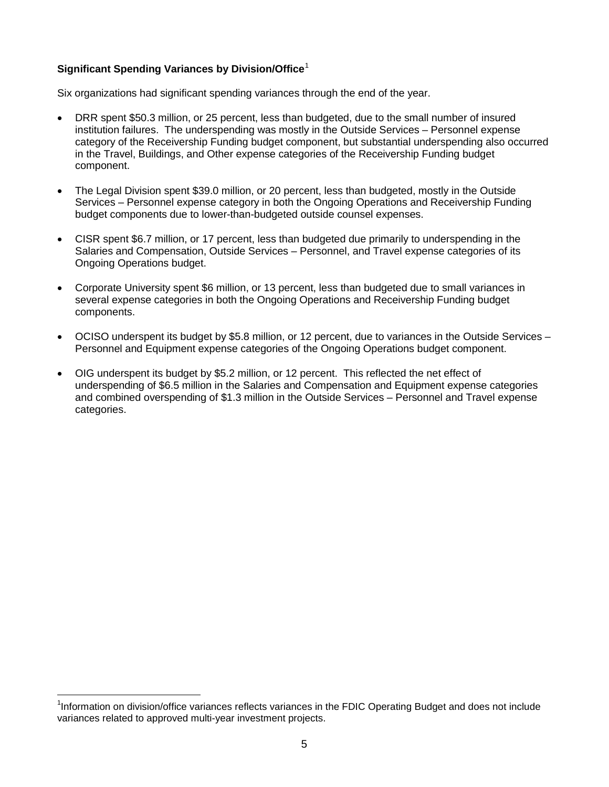# **Significant Spending Variances by Division/Office**<sup>1</sup>

Six organizations had significant spending variances through the end of the year.

- DRR spent \$50.3 million, or 25 percent, less than budgeted, due to the small number of insured institution failures. The underspending was mostly in the Outside Services – Personnel expense category of the Receivership Funding budget component, but substantial underspending also occurred in the Travel, Buildings, and Other expense categories of the Receivership Funding budget component.
- The Legal Division spent \$39.0 million, or 20 percent, less than budgeted, mostly in the Outside Services – Personnel expense category in both the Ongoing Operations and Receivership Funding budget components due to lower-than-budgeted outside counsel expenses.
- CISR spent \$6.7 million, or 17 percent, less than budgeted due primarily to underspending in the Salaries and Compensation, Outside Services – Personnel, and Travel expense categories of its Ongoing Operations budget.
- Corporate University spent \$6 million, or 13 percent, less than budgeted due to small variances in several expense categories in both the Ongoing Operations and Receivership Funding budget components.
- OCISO underspent its budget by \$5.8 million, or 12 percent, due to variances in the Outside Services Personnel and Equipment expense categories of the Ongoing Operations budget component.
- OIG underspent its budget by \$5.2 million, or 12 percent. This reflected the net effect of underspending of \$6.5 million in the Salaries and Compensation and Equipment expense categories and combined overspending of \$1.3 million in the Outside Services – Personnel and Travel expense categories.

1 Information on division/office variances reflects variances in the FDIC Operating Budget and does not include variances related to approved multi-year investment projects.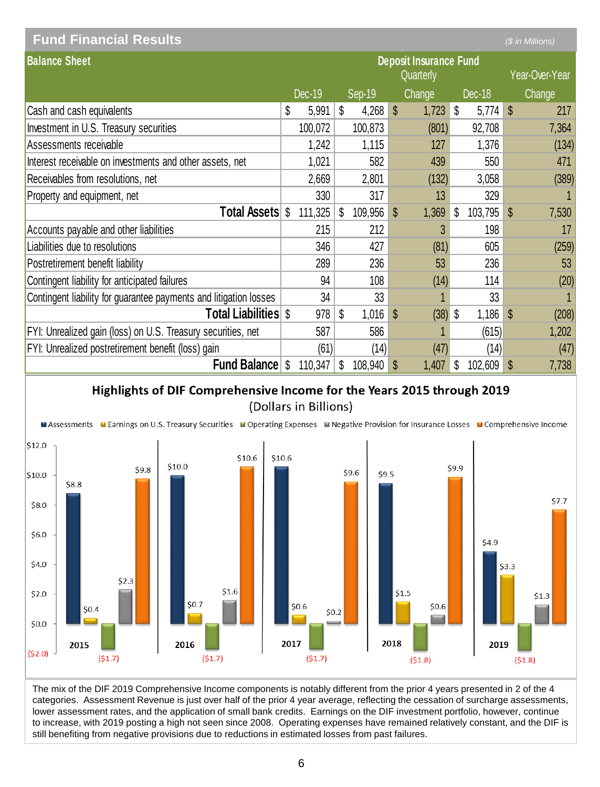| <b>Fund Financial Results</b>                                     |    |         |                                            |         |              |            |    |         |    | (\$ in Millions) |
|-------------------------------------------------------------------|----|---------|--------------------------------------------|---------|--------------|------------|----|---------|----|------------------|
| <b>Balance Sheet</b>                                              |    |         | <b>Deposit Insurance Fund</b><br>Quarterly |         |              |            |    |         |    | Year-Over-Year   |
|                                                                   |    | Dec-19  |                                            | Sep-19  |              | Change     |    | Dec-18  |    | Change           |
| Cash and cash equivalents                                         | \$ | 5,991   | \$                                         | 4,268   | $\mathbb{S}$ | $1,723$ \$ |    | 5,774   | \$ | 217              |
| Investment in U.S. Treasury securities                            |    | 100,072 |                                            | 100,873 |              | (801)      |    | 92,708  |    | 7,364            |
| Assessments receivable                                            |    | 1,242   |                                            | 1,115   |              | 127        |    | 1,376   |    | (134)            |
| Interest receivable on investments and other assets, net          |    | 1,021   |                                            | 582     |              | 439        |    | 550     |    | 471              |
| Receivables from resolutions, net                                 |    | 2,669   |                                            | 2,801   |              | (132)      |    | 3,058   |    | (389)            |
| Property and equipment, net                                       |    | 330     |                                            | 317     |              | 13         |    | 329     |    |                  |
| <b>Total Assets \$</b>                                            |    | 111,325 | S                                          | 109,956 | S            | 1,369      | S  | 103,795 | S  | 7,530            |
| Accounts payable and other liabilities                            |    | 215     |                                            | 212     |              | 3          |    | 198     |    | 17               |
| Liabilities due to resolutions                                    |    | 346     |                                            | 427     |              | (81)       |    | 605     |    | (259)            |
| Postretirement benefit liability                                  |    | 289     |                                            | 236     |              | 53         |    | 236     |    | 53               |
| Contingent liability for anticipated failures                     |    | 94      |                                            | 108     |              | (14)       |    | 114     |    | (20)             |
| Contingent liability for guarantee payments and litigation losses |    | 34      |                                            | 33      |              |            |    | 33      |    |                  |
| <b>Total Liabilities</b> S                                        |    | 978     | S                                          | 1,016   | $\mathbb{S}$ | $(38)$ \$  |    | 1,186   | \$ | (208)            |
| FYI: Unrealized gain (loss) on U.S. Treasury securities, net      |    | 587     |                                            | 586     |              |            |    | (615)   |    | 1,202            |
| FYI: Unrealized postretirement benefit (loss) gain                |    | (61)    |                                            | (14)    |              | (47)       |    | (14)    |    | (47)             |
| <b>Fund Balance</b>                                               | \$ | 110,347 | \$                                         | 108,940 | S            | 1,407      | \$ | 102,609 | \$ | 7,738            |

# Highlights of DIF Comprehensive Income for the Years 2015 through 2019 (Dollars in Billions)



The mix of the DIF 2019 Comprehensive Income components is notably different from the prior 4 years presented in 2 of the 4 categories. Assessment Revenue is just over half of the prior 4 year average, reflecting the cessation of surcharge assessments, lower assessment rates, and the application of small bank credits. Earnings on the DIF investment portfolio, however, continue to increase, with 2019 posting a high not seen since 2008. Operating expenses have remained relatively constant, and the DIF is still benefiting from negative provisions due to reductions in estimated losses from past failures.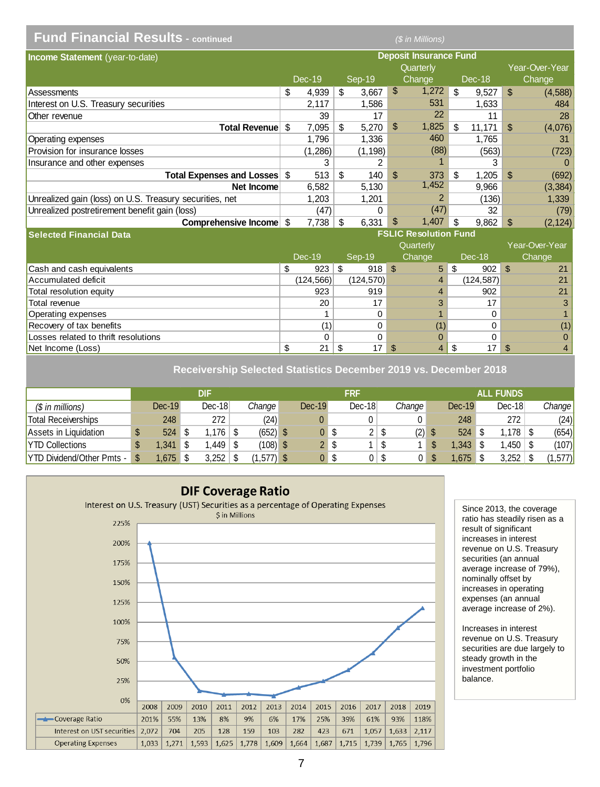| <b>Fund Financial Results - continued</b>               |     |            |                               |               |                | (\$ in Millions)             |                           |             |                |                |
|---------------------------------------------------------|-----|------------|-------------------------------|---------------|----------------|------------------------------|---------------------------|-------------|----------------|----------------|
| Income Statement (year-to-date)                         |     |            | <b>Deposit Insurance Fund</b> |               |                |                              |                           |             |                |                |
|                                                         |     |            |                               |               |                | Quarterly                    |                           |             |                | Year-Over-Year |
|                                                         |     | Dec-19     |                               | Sep-19        |                | Change                       |                           | Dec-18      |                | Change         |
| Assessments                                             | \$  | 4,939      | \$                            | 3,667         | \$             | 1,272                        | \$                        | 9,527       | \$             | (4, 588)       |
| Interest on U.S. Treasury securities                    |     | 2,117      |                               | 1,586         |                | 531                          |                           | 1,633       |                | 484            |
| Other revenue                                           |     | 39         |                               | 17            |                | 22                           |                           | 11          |                | 28             |
| Total Revenue                                           | \$. | 7,095      | \$                            | 5,270         | $\mathbb{S}$   | 1,825                        | \$.                       | 11,171      | $\mathfrak{L}$ | (4,076)        |
| Operating expenses                                      |     | 1,796      |                               | 1,336         |                | 460                          |                           | 1.765       |                | 31             |
| Provision for insurance losses                          |     | (1, 286)   |                               | (1, 198)      |                | (88)                         |                           | (563)       |                | (723)          |
| Insurance and other expenses                            |     | 3          |                               | 2             |                |                              |                           | 3           |                | $\Omega$       |
| Total Expenses and Losses \$                            |     | 513        | \$                            | 140           | \$.            | 373                          | \$                        | 1,205       | $\mathfrak{L}$ | (692)          |
| Net Income                                              |     | 6,582      |                               | 5,130         |                | 1,452                        |                           | 9,966       |                | (3, 384)       |
| Unrealized gain (loss) on U.S. Treasury securities, net |     | 1,203      |                               | 1,201         |                | 2                            |                           | (136)       |                | 1,339          |
| Unrealized postretirement benefit gain (loss)           |     | (47)       |                               | $\Omega$      |                | (47)                         |                           | 32          |                | (79)           |
| Comprehensive Income \$                                 |     | 7,738      | \$                            | 6,331         | \$             | 1,407                        | \$                        | 9,862       | \$             | (2, 124)       |
| <b>Selected Financial Data</b>                          |     |            |                               |               |                | <b>FSLIC Resolution Fund</b> |                           |             |                |                |
|                                                         |     |            |                               |               |                | Quarterly                    |                           |             |                | Year-Over-Year |
|                                                         |     | Dec-19     |                               | <b>Sep-19</b> |                | Change                       |                           | Dec-18      |                | Change         |
| Cash and cash equivalents                               | \$  | 923        | \$                            | 918           | $\mathfrak{S}$ | 5                            | $\boldsymbol{\mathsf{s}}$ | 902         | $\mathfrak{L}$ | 21             |
| Accumulated deficit                                     |     | (124, 566) |                               | (124, 570)    |                | $\overline{4}$               |                           | (124, 587)  |                | 21             |
| Total resolution equity                                 |     | 923        |                               | 919           |                | 4                            |                           | 902         |                | 21             |
| Total revenue                                           |     | 20         |                               | 17            |                | 3                            |                           | 17          |                | 3              |
| Operating expenses                                      |     | 1          |                               | $\Omega$      |                | 1                            |                           | $\Omega$    |                |                |
| Recovery of tax benefits                                |     | (1)        |                               | $\mathbf 0$   |                | (1)                          |                           | $\mathbf 0$ |                | (1)            |
| Losses related to thrift resolutions                    |     | 0          |                               | 0             |                | 0                            |                           | 0           |                | 0              |
| Net Income (Loss)                                       | \$  | 21         | \$                            | 17            | \$             | 4                            | \$                        | 17          | \$             | $\overline{4}$ |

**Receivership Selected Statistics December 2019 vs. December 2018**

|                                  | DIF |          |    |                | FRF        |  |                    |      | <b>ALL FUNDS</b> |   |                     |  |          |  |          |  |        |
|----------------------------------|-----|----------|----|----------------|------------|--|--------------------|------|------------------|---|---------------------|--|----------|--|----------|--|--------|
| $$$ in millions)                 |     | $Dec-19$ |    | $Dec-18$       | Change     |  | $Dec-19$           |      | $Dec-18$         |   | Change <sup>l</sup> |  | $Dec-19$ |  | $Dec-18$ |  | Change |
| Total Receiverships              |     | 248      |    | 272            | (24)       |  |                    |      |                  |   |                     |  | 248      |  | 272      |  | (24)   |
| Assets in Liquidation            |     | 524      |    | $.176 \mid$ \$ | $(652)$ \$ |  | 0                  | - \$ | 2 <sup>1</sup>   | S | (2)                 |  | 524      |  | .178     |  | (654)  |
| <b>YTD Collections</b>           |     | .341     | \$ | .449 \ \$      | $(108)$ \$ |  | $\mathcal{P}$<br>ے | S    |                  | S |                     |  | .343     |  | ,450     |  | (107)  |
| <b>YTD Dividend/Other Pmts -</b> |     | .675     | ۰D | 3,252          | (1.577) \$ |  | 0                  | S    |                  | S |                     |  | .675     |  | 3,252    |  | ,577)  |



Since 2013, the coverage ratio has steadily risen as a result of significant increases in interest revenue on U.S. Treasury securities (an annual average increase of 79%), nominally offset by increases in operating expenses (an annual average increase of 2%).

Increases in interest revenue on U.S. Treasury securities are due largely to steady growth in the investment portfolio balance.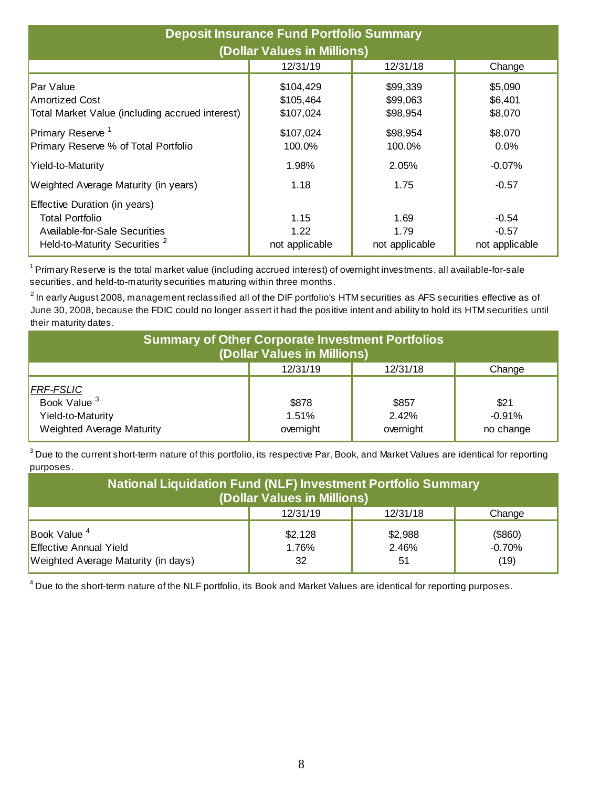| <b>Deposit Insurance Fund Portfolio Summary</b><br>(Dollar Values in Millions)                                                       |                                |                                |                                      |  |  |  |  |  |  |  |
|--------------------------------------------------------------------------------------------------------------------------------------|--------------------------------|--------------------------------|--------------------------------------|--|--|--|--|--|--|--|
|                                                                                                                                      | 12/31/19                       | 12/31/18                       | Change                               |  |  |  |  |  |  |  |
| Par Value                                                                                                                            | \$104,429                      | \$99,339                       | \$5,090                              |  |  |  |  |  |  |  |
| <b>Amortized Cost</b>                                                                                                                | \$105,464                      | \$99,063                       | \$6,401                              |  |  |  |  |  |  |  |
| Total Market Value (including accrued interest)                                                                                      | \$107,024                      | \$98,954                       | \$8,070                              |  |  |  |  |  |  |  |
| Primary Reserve <sup>1</sup>                                                                                                         | \$107,024                      | \$98,954                       | \$8,070                              |  |  |  |  |  |  |  |
| Primary Reserve % of Total Portfolio                                                                                                 | 100.0%                         | 100.0%                         | 0.0%                                 |  |  |  |  |  |  |  |
| Yield-to-Maturity                                                                                                                    | 1.98%                          | 2.05%                          | $-0.07\%$                            |  |  |  |  |  |  |  |
| Weighted Average Maturity (in years)                                                                                                 | 1.18                           | 1.75                           | $-0.57$                              |  |  |  |  |  |  |  |
| Effective Duration (in years)<br><b>Total Portfolio</b><br>Available-for-Sale Securities<br>Held-to-Maturity Securities <sup>2</sup> | 1.15<br>1.22<br>not applicable | 1.69<br>1.79<br>not applicable | $-0.54$<br>$-0.57$<br>not applicable |  |  |  |  |  |  |  |

<sup>1</sup> Primary Reserve is the total market value (including accrued interest) of overnight investments, all available-for-sale securities, and held-to-maturity securities maturing within three months.

 $^{\rm 2}$  In early August 2008, management reclassified all of the DIF portfolio's HTM securities as AFS securities effective as of June 30, 2008, because the FDIC could no longer assert it had the positive intent and ability to hold its HTM securities until their maturity dates.

| <b>Summary of Other Corporate Investment Portfolios</b><br>(Dollar Values in Millions)        |                             |                             |                               |  |  |  |  |  |  |  |
|-----------------------------------------------------------------------------------------------|-----------------------------|-----------------------------|-------------------------------|--|--|--|--|--|--|--|
|                                                                                               | 12/31/19                    | 12/31/18                    | Change                        |  |  |  |  |  |  |  |
| <b>FRF-FSLIC</b><br>Book Value <sup>3</sup><br>Yield-to-Maturity<br>Weighted Average Maturity | \$878<br>1.51%<br>overnight | \$857<br>2.42%<br>overnight | \$21<br>$-0.91%$<br>no change |  |  |  |  |  |  |  |

 $^3$  Due to the current short-term nature of this portfolio, its respective Par, Book, and Market Values are identical for reporting purposes.

| <b>National Liquidation Fund (NLF) Investment Portfolio Summary</b><br>(Dollar Values in Millions) |                        |                        |                             |  |  |  |  |  |  |  |
|----------------------------------------------------------------------------------------------------|------------------------|------------------------|-----------------------------|--|--|--|--|--|--|--|
|                                                                                                    | 12/31/19               | 12/31/18               | Change                      |  |  |  |  |  |  |  |
| Book Value $4$<br><b>Effective Annual Yield</b><br>Weighted Average Maturity (in days)             | \$2,128<br>1.76%<br>32 | \$2,988<br>2.46%<br>51 | (\$860)<br>$-0.70%$<br>(19) |  |  |  |  |  |  |  |

 $^4$  Due to the short-term nature of the NLF portfolio, its Book and Market Values are identical for reporting purposes.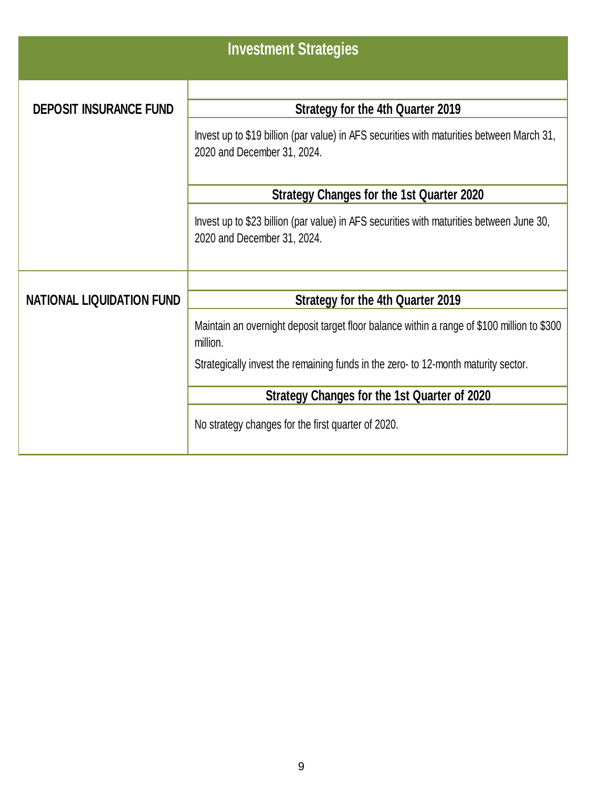|                                  | <b>Investment Strategies</b>                                                                                             |  |  |  |  |  |  |  |
|----------------------------------|--------------------------------------------------------------------------------------------------------------------------|--|--|--|--|--|--|--|
| <b>DEPOSIT INSURANCE FUND</b>    | <b>Strategy for the 4th Quarter 2019</b>                                                                                 |  |  |  |  |  |  |  |
|                                  | Invest up to \$19 billion (par value) in AFS securities with maturities between March 31,<br>2020 and December 31, 2024. |  |  |  |  |  |  |  |
|                                  | Strategy Changes for the 1st Quarter 2020                                                                                |  |  |  |  |  |  |  |
|                                  | Invest up to \$23 billion (par value) in AFS securities with maturities between June 30,<br>2020 and December 31, 2024.  |  |  |  |  |  |  |  |
|                                  |                                                                                                                          |  |  |  |  |  |  |  |
| <b>NATIONAL LIQUIDATION FUND</b> | Strategy for the 4th Quarter 2019                                                                                        |  |  |  |  |  |  |  |
|                                  | Maintain an overnight deposit target floor balance within a range of \$100 million to \$300<br>million.                  |  |  |  |  |  |  |  |
|                                  | Strategically invest the remaining funds in the zero- to 12-month maturity sector.                                       |  |  |  |  |  |  |  |
|                                  | Strategy Changes for the 1st Quarter of 2020                                                                             |  |  |  |  |  |  |  |
|                                  | No strategy changes for the first quarter of 2020.                                                                       |  |  |  |  |  |  |  |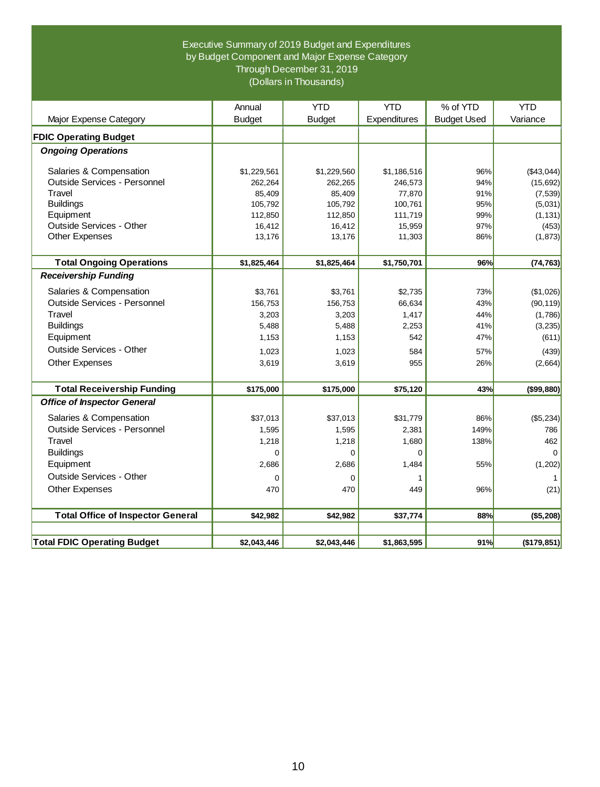### Executive Summary of 2019 Budget and Expenditures by Budget Component and Major Expense Category Through December 31, 2019 (Dollars in Thousands)

|                                          | Annual                 | <b>YTD</b>             | <b>YTD</b>             | % of YTD           | <b>YTD</b>              |
|------------------------------------------|------------------------|------------------------|------------------------|--------------------|-------------------------|
| Major Expense Category                   | <b>Budget</b>          | <b>Budget</b>          | Expenditures           | <b>Budget Used</b> | Variance                |
| <b>FDIC Operating Budget</b>             |                        |                        |                        |                    |                         |
| <b>Ongoing Operations</b>                |                        |                        |                        |                    |                         |
| Salaries & Compensation                  |                        |                        |                        | 96%                |                         |
| Outside Services - Personnel             | \$1,229,561<br>262,264 | \$1,229,560<br>262,265 | \$1,186,516<br>246,573 | 94%                | ( \$43,044]<br>(15,692) |
| Travel                                   | 85,409                 | 85,409                 | 77,870                 | 91%                | (7, 539)                |
| <b>Buildings</b>                         | 105,792                | 105,792                | 100,761                | 95%                | (5,031)                 |
| Equipment                                | 112,850                | 112,850                | 111,719                | 99%                | (1, 131)                |
| Outside Services - Other                 | 16,412                 | 16,412                 | 15,959                 | 97%                | (453)                   |
| Other Expenses                           | 13,176                 | 13,176                 | 11,303                 | 86%                | (1, 873)                |
|                                          |                        |                        |                        |                    |                         |
| <b>Total Ongoing Operations</b>          | \$1,825,464            | \$1,825,464            | \$1,750,701            | 96%                | (74, 763)               |
| <b>Receivership Funding</b>              |                        |                        |                        |                    |                         |
| Salaries & Compensation                  | \$3,761                | \$3,761                | \$2,735                | 73%                | (\$1,026)               |
| Outside Services - Personnel             | 156,753                | 156,753                | 66,634                 | 43%                | (90, 119)               |
| Travel                                   | 3,203                  | 3,203                  | 1,417                  | 44%                | (1,786)                 |
| <b>Buildings</b>                         | 5,488                  | 5,488                  | 2,253                  | 41%                | (3, 235)                |
| Equipment                                | 1,153                  | 1,153                  | 542                    | 47%                | (611)                   |
| Outside Services - Other                 | 1,023                  | 1,023                  | 584                    | 57%                | (439)                   |
| <b>Other Expenses</b>                    | 3,619                  | 3,619                  | 955                    | 26%                | (2,664)                 |
|                                          |                        |                        |                        |                    |                         |
| <b>Total Receivership Funding</b>        | \$175,000              | \$175,000              | \$75,120               | 43%                | ( \$99, 880)            |
| <b>Office of Inspector General</b>       |                        |                        |                        |                    |                         |
| Salaries & Compensation                  | \$37,013               | \$37,013               | \$31,779               | 86%                | ( \$5,234)              |
| Outside Services - Personnel             | 1,595                  | 1,595                  | 2,381                  | 149%               | 786                     |
| Travel                                   | 1,218                  | 1,218                  | 1,680                  | 138%               | 462                     |
| <b>Buildings</b>                         | $\Omega$               | $\Omega$               | $\Omega$               |                    | $\Omega$                |
| Equipment                                | 2,686                  | 2,686                  | 1,484                  | 55%                | (1,202)                 |
| Outside Services - Other                 | $\mathbf 0$            | 0                      | 1                      |                    | $\mathbf{1}$            |
| <b>Other Expenses</b>                    | 470                    | 470                    | 449                    | 96%                | (21)                    |
|                                          |                        |                        |                        |                    |                         |
| <b>Total Office of Inspector General</b> | \$42,982               | \$42,982               | \$37,774               | 88%                | ( \$5,208)              |
|                                          |                        |                        |                        |                    |                         |
| <b>Total FDIC Operating Budget</b>       | \$2,043,446            | \$2,043,446            | \$1,863,595            | 91%                | $($ \$179,851)          |